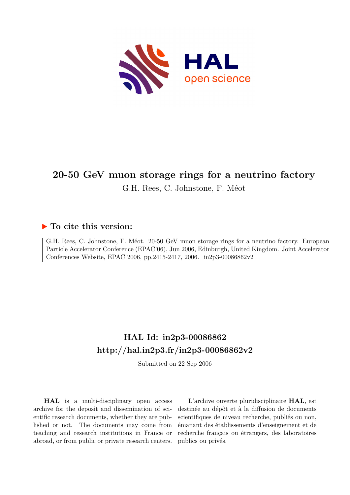

# **20-50 GeV muon storage rings for a neutrino factory**

G.H. Rees, C. Johnstone, F. Méot

## **To cite this version:**

G.H. Rees, C. Johnstone, F. Méot. 20-50 GeV muon storage rings for a neutrino factory. European Particle Accelerator Conference (EPAC'06), Jun 2006, Edinburgh, United Kingdom. Joint Accelerator Conferences Website, EPAC 2006, pp.2415-2417, 2006. in2p3-00086862v2

# **HAL Id: in2p3-00086862 <http://hal.in2p3.fr/in2p3-00086862v2>**

Submitted on 22 Sep 2006

**HAL** is a multi-disciplinary open access archive for the deposit and dissemination of scientific research documents, whether they are published or not. The documents may come from teaching and research institutions in France or abroad, or from public or private research centers.

L'archive ouverte pluridisciplinaire **HAL**, est destinée au dépôt et à la diffusion de documents scientifiques de niveau recherche, publiés ou non, émanant des établissements d'enseignement et de recherche français ou étrangers, des laboratoires publics ou privés.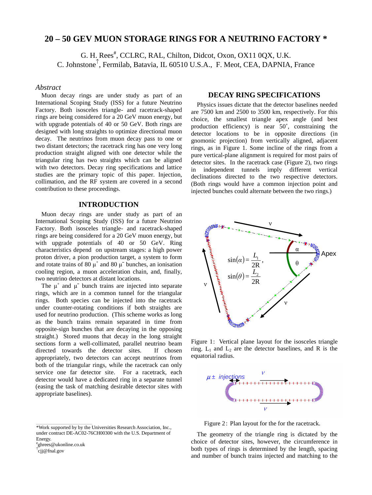### **20 – 50 GEV MUON STORAGE RINGS FOR A NEUTRINO FACTORY \***

G. H. Rees<sup>#</sup>, CCLRC, RAL, Chilton, Didcot, Oxon, OX11 0QX, U.K. C. Johnstone<sup>↑</sup> , Fermilab, Batavia, IL 60510 U.S.A., F. Meot, CEA, DAPNIA, France

#### *Abstract*

Muon decay rings are under study as part of an International Scoping Study (ISS) for a future Neutrino Factory. Both isosceles triangle- and racetrack-shaped rings are being considered for a 20 GeV muon energy, but with upgrade potentials of 40 or 50 GeV. Both rings are designed with long straights to optimize directional muon decay. The neutrinos from muon decay pass to one or two distant detectors; the racetrack ring has one very long production straight aligned with one detector while the triangular ring has two straights which can be aligned with two detectors. Decay ring specifications and lattice studies are the primary topic of this paper. Injection, collimation, and the RF system are covered in a second contribution to these proceedings.

#### **INTRODUCTION**

Muon decay rings are under study as part of an International Scoping Study (ISS) for a future Neutrino Factory. Both isosceles triangle- and racetrack-shaped rings are being considered for a 20 GeV muon energy, but with upgrade potentials of 40 or 50 GeV. Ring characteristics depend on upstream stages: a high power proton driver, a pion production target, a system to form and rotate trains of 80  $\mu^+$  and 80  $\mu^-$  bunches, an ionisation cooling region, a muon acceleration chain, and, finally, two neutrino detectors at distant locations.

The  $\mu^+$  and  $\mu^-$  bunch trains are injected into separate rings, which are in a common tunnel for the triangular rings. Both species can be injected into the racetrack under counter-rotating conditions if both straights are used for neutrino production. (This scheme works as long as the bunch trains remain separated in time from opposite-sign bunches that are decaying in the opposing straight.) Stored muons that decay in the long straight sections form a well-collimated, parallel neutrino beam directed towards the detector sites. If chosen appropriately, two detectors can accept neutrinos from both of the triangular rings, while the racetrack can only service one far detector site. For a racetrack, each detector would have a dedicated ring in a separate tunnel (easing the task of matching desirable detector sites with appropriate baselines).

\_\_\_\_\_\_\_\_\_\_\_\_\_\_\_\_\_\_\_\_\_\_\_\_\_\_\_\_\_\_\_\_\_\_\_\_\_\_\_\_\_\_\_\_

#### **DECAY RING SPECIFICATIONS**

Physics issues dictate that the detector baselines needed are 7500 km and 2500 to 3500 km, respectively. For this choice, the smallest triangle apex angle (and best production efficiency) is near 50˚, constraining the detector locations to be in opposite directions (in gnomonic projection) from vertically aligned, adjacent rings, as in Figure 1. Some incline of the rings from a pure vertical-plane alignment is required for most pairs of detector sites. In the racetrack case (Figure 2), two rings in independent tunnels imply different vertical declinations directed to the two respective detectors. (Both rings would have a common injection point and injected bunches could alternate between the two rings.)



Figure 1: Vertical plane layout for the isosceles triangle ring.  $L_1$  and  $L_2$  are the detector baselines, and R is the equatorial radius.



Figure 2: Plan layout for the for the racetrack.

The geometry of the triangle ring is dictated by the choice of detector sites, however, the circumference in both types of rings is determined by the length, spacing and number of bunch trains injected and matching to the

<sup>\*</sup>Work supported by by the Universities Research Association, Inc., under contract DE-AC02-76CH00300 with the U.S. Department of Energy.

<sup>#</sup> ghrees@ukonline.co.uk

<sup>↑</sup> cjj@fnal.gov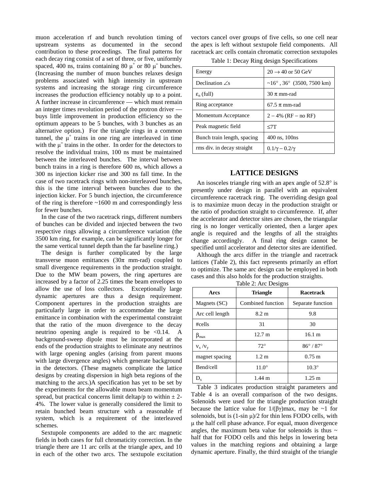muon acceleration rf and bunch revolution timing of upstream systems as documented in the second contribution to these proceedings. The final patterns for each decay ring consist of a set of three, or five, uniformly spaced, 400 ns, trains containing 80  $\mu^+$  or 80  $\mu^-$  bunches. (Increasing the number of muon bunches relaxes design problems associated with high intensity in upstream systems and increasing the storage ring circumference increases the production efficiency notably up to a point. A further increase in circumference — which must remain an integer times revolution period of the protron driver buys little improvement in production efficiency so the optimum appears to be 5 bunches, with 3 bunches as an alternative option.) For the triangle rings in a common tunnel, the  $\mu^+$  trains in one ring are interleaved in time with the  $\mu$ <sup>-</sup> trains in the other. In order for the detectors to resolve the individual trains, 100 ns must be maintained between the interleaved bunches. The interval between bunch trains in a ring is therefore 600 ns, which allows a 300 ns injection kicker rise and 300 ns fall time. In the case of two racetrack rings with non-interleaved bunches, this is the time interval between bunches due to the injection kicker. For 5 bunch injection, the circumference of the ring is therefore ~1600 m and correspondingly less for fewer bunches.

In the case of the two racetrack rings, different numbers of bunches can be divided and injected between the two respective rings allowing a circumference variation (the 3500 km ring, for example, can be significantly longer for the same vertical tunnel depth than the far baseline ring.)

The design is further complicated by the large transverse muon emittances ( $30\pi$  mm-rad) coupled to small divergence requirements in the production straight. Due to the MW beam powers, the ring apertures are increased by a factor of 2.25 times the beam envelopes to allow the use of loss collectors. Exceptionally large dynamic apertures are thus a design requirement. Component apertures in the production straights are particularly large in order to accommodate the large emittance in combination with the experimental constraint that the ratio of the muon divergence to the decay neutrino opening angle is required to be  $\langle 0.14, A \rangle$ background-sweep dipole must be incorporated at the ends of the production straights to eliminate any neutrinos with large opening angles (arising from parent muons with large divergence angles) which generate background in the detectors. (These magnets complicate the lattice designs by creating dispersion in high beta regions of the matching to the arcs.)A specification has yet to be set by the experiments for the allowable muon beam momentum spread, but practical concerns limit deltap/p to within  $\pm 2$ -4%. The lower value is generally considered the limit to retain bunched beam structure with a reasonable rf system, which is a requirement of the interleaved schemes.

Sextupole components are added to the arc magnetic fields in both cases for full chromaticity correction. In the triangle there are 11 arc cells at the triangle apex, and 10 in each of the other two arcs. The sextupole excitation vectors cancel over groups of five cells, so one cell near the apex is left without sextupole field components. All racetrack arc cells contain chromatic correction sextupoles

Table 1: Decay Ring design Specifications

| Energy                      | $20 \rightarrow 40$ or 50 GeV       |
|-----------------------------|-------------------------------------|
| Declination $\angle$ s      | $~16^{\circ}$ , 36° (3500, 7500 km) |
| $\varepsilon_n$ (full)      | 30 $\pi$ mm-rad                     |
| Ring acceptance             | $67.5 \pi$ mm-rad                   |
| Momentum Acceptance         | $2 - 4\%$ (RF – no RF)              |
| Peak magnetic field         | < 7T                                |
| Bunch train length, spacing | 400 ns, 100 ns                      |
| rms div. in decay straight  | $0.1/\gamma - 0.2/\gamma$           |

#### **LATTICE DESIGNS**

An isosceles triangle ring with an apex angle of 52.8° is presently under design in parallel with an equivalent circumference racetrack ring. The overriding design goal is to maximize muon decay in the production straight or the ratio of production straight to circumference. If, after the accelerator and detector sites are chosen, the triangular ring is no longer vertically oriented, then a larger apex angle is required and the lengths of all the straights change accordingly. A final ring design cannot be specified until accelerator and detector sites are identified.

Although the arcs differ in the triangle and racetrack lattices (Table 2), this fact represents primarily an effort to optimize. The same arc design can be employed in both cases and this also holds for the production straights.

| $     -$             |                   |                     |  |
|----------------------|-------------------|---------------------|--|
| Arcs                 | <b>Triangle</b>   | <b>Racetrack</b>    |  |
| Magnets (SC)         | Combined function | Separate function   |  |
| Arc cell length      | $8.2 \text{ m}$   | 9.8                 |  |
| #cells               | 31                | 30                  |  |
| $\beta_{\text{max}}$ | $12.7 \text{ m}$  | 16.1 m              |  |
| $v_x/v_y$            | $72^\circ$        | $86^\circ/87^\circ$ |  |
| magnet spacing       | 1.2 <sub>m</sub>  | $0.75 \text{ m}$    |  |
| Bend/cell            | $11.0^\circ$      | $10.3^\circ$        |  |
| $D_{\rm v}$          | $1.44 \text{ m}$  | $1.25 \text{ m}$    |  |

Table 2: Arc Designs

Table 3 indicates production straight parameters and Table 4 is an overall comparison of the two designs. Solenoids were used for the triangle production straight because the lattice value for  $1/(\beta \gamma)$  max, may be ~1 for solenoids, but is  $(1-\sin \mu)/2$  for thin lens FODO cells, with μ the half cell phase advance. For equal, muon divergence angles, the maximum beta value for solenoids is thus  $\sim$ half that for FODO cells and this helps in lowering beta values in the matching regions and obtaining a large dynamic aperture. Finally, the third straight of the triangle